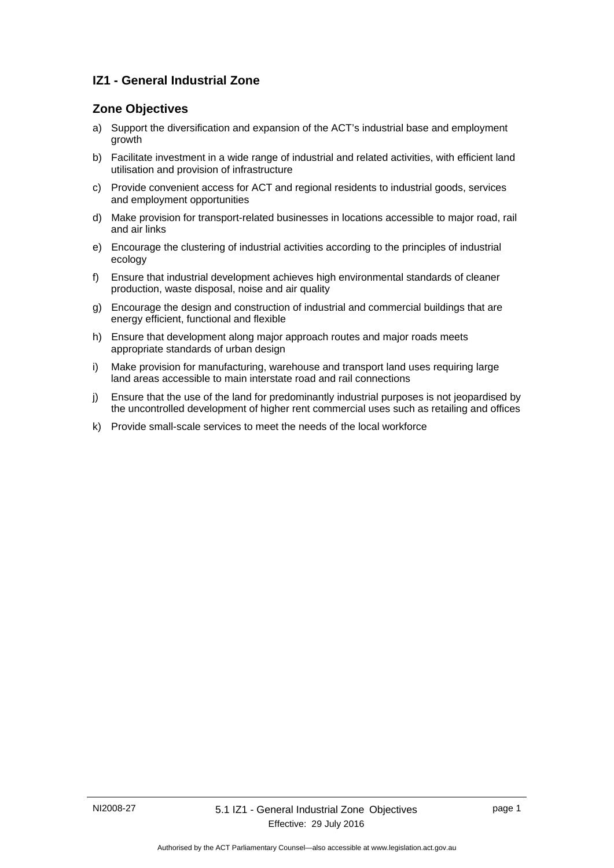# **IZ1 - General Industrial Zone**

# **Zone Objectives**

- a) Support the diversification and expansion of the ACT's industrial base and employment growth
- b) Facilitate investment in a wide range of industrial and related activities, with efficient land utilisation and provision of infrastructure
- c) Provide convenient access for ACT and regional residents to industrial goods, services and employment opportunities
- d) Make provision for transport-related businesses in locations accessible to major road, rail and air links
- e) Encourage the clustering of industrial activities according to the principles of industrial ecology
- f) Ensure that industrial development achieves high environmental standards of cleaner production, waste disposal, noise and air quality
- g) Encourage the design and construction of industrial and commercial buildings that are energy efficient, functional and flexible
- h) Ensure that development along major approach routes and major roads meets appropriate standards of urban design
- i) Make provision for manufacturing, warehouse and transport land uses requiring large land areas accessible to main interstate road and rail connections
- j) Ensure that the use of the land for predominantly industrial purposes is not jeopardised by the uncontrolled development of higher rent commercial uses such as retailing and offices
- k) Provide small-scale services to meet the needs of the local workforce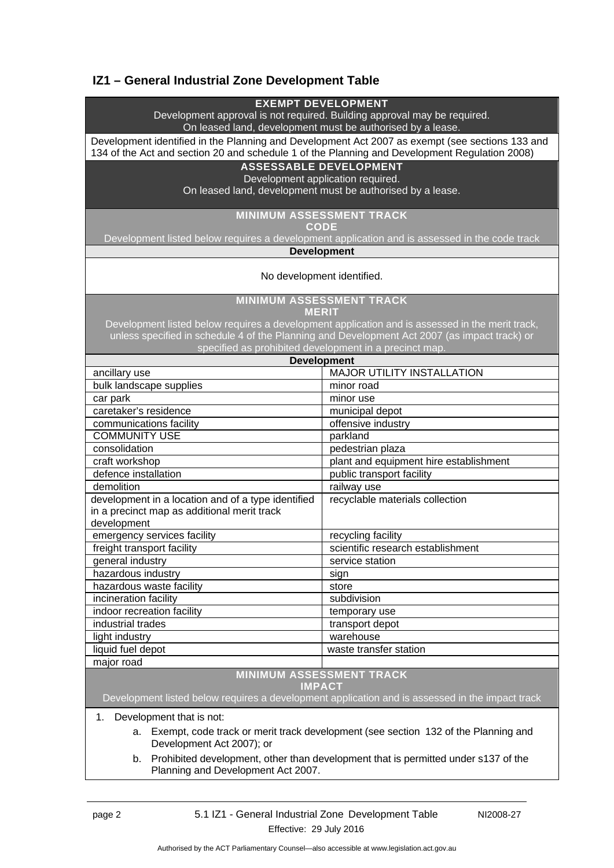# **IZ1 – General Industrial Zone Development Table**

### **EXEMPT DEVELOPMENT**

Development approval is not required. Building approval may be required. On leased land, development must be authorised by a lease.

Development identified in the Planning and Development Act 2007 as exempt (see sections 133 and 134 of the Act and section 20 and schedule 1 of the Planning and Development Regulation 2008)

### **ASSESSABLE DEVELOPMENT**

Development application required.

On leased land, development must be authorised by a lease.

### **MINIMUM ASSESSMENT TRACK**

**CODE** 

Development listed below requires a development application and is assessed in the code track

**Development**

#### No development identified.

**MINIMUM ASSESSMENT TRACK** 

**MERIT** 

Development listed below requires a development application and is assessed in the merit track, unless specified in schedule 4 of the Planning and Development Act 2007 (as impact track) or specified as prohibited development in a precinct map.

| <b>Development</b>                                 |                                        |
|----------------------------------------------------|----------------------------------------|
| ancillary use                                      | <b>MAJOR UTILITY INSTALLATION</b>      |
| bulk landscape supplies                            | minor road                             |
| car park                                           | minor use                              |
| caretaker's residence                              | municipal depot                        |
| communications facility                            | offensive industry                     |
| <b>COMMUNITY USE</b>                               | parkland                               |
| consolidation                                      | pedestrian plaza                       |
| craft workshop                                     | plant and equipment hire establishment |
| defence installation                               | public transport facility              |
| demolition                                         | railway use                            |
| development in a location and of a type identified | recyclable materials collection        |
| in a precinct map as additional merit track        |                                        |
| development                                        |                                        |
| emergency services facility                        | recycling facility                     |
| freight transport facility                         | scientific research establishment      |
| general industry                                   | service station                        |
| hazardous industry                                 | sign                                   |
| hazardous waste facility                           | store                                  |
| incineration facility                              | subdivision                            |
| indoor recreation facility                         | temporary use                          |
| industrial trades                                  | transport depot                        |
| light industry                                     | warehouse                              |
| liquid fuel depot                                  | waste transfer station                 |
| major road                                         |                                        |
| <b>MINIMUM ASSESSMENT TRACK</b>                    |                                        |

#### **IMPACT**

Development listed below requires a development application and is assessed in the impact track

1. Development that is not:

a. Exempt, code track or merit track development (see section 132 of the Planning and Development Act 2007); or

b. Prohibited development, other than development that is permitted under s137 of the Planning and Development Act 2007.